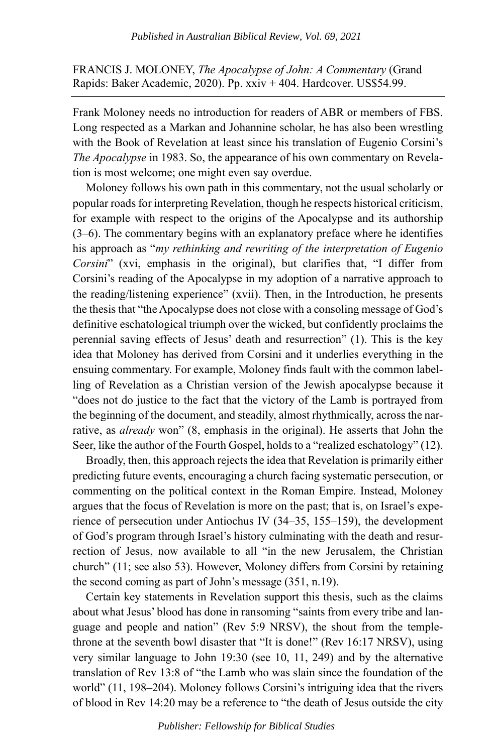FRANCIS J. MOLONEY, *The Apocalypse of John: A Commentary* (Grand Rapids: Baker Academic, 2020). Pp. xxiv + 404. Hardcover. US\$54.99.

Frank Moloney needs no introduction for readers of ABR or members of FBS. Long respected as a Markan and Johannine scholar, he has also been wrestling with the Book of Revelation at least since his translation of Eugenio Corsini's *The Apocalypse* in 1983. So, the appearance of his own commentary on Revelation is most welcome; one might even say overdue.

Moloney follows his own path in this commentary, not the usual scholarly or popular roads for interpreting Revelation, though he respects historical criticism, for example with respect to the origins of the Apocalypse and its authorship (3–6). The commentary begins with an explanatory preface where he identifies his approach as "*my rethinking and rewriting of the interpretation of Eugenio Corsini*" (xvi, emphasis in the original), but clarifies that, "I differ from Corsini's reading of the Apocalypse in my adoption of a narrative approach to the reading/listening experience" (xvii). Then, in the Introduction, he presents the thesis that "the Apocalypse does not close with a consoling message of God's definitive eschatological triumph over the wicked, but confidently proclaims the perennial saving effects of Jesus' death and resurrection" (1). This is the key idea that Moloney has derived from Corsini and it underlies everything in the ensuing commentary. For example, Moloney finds fault with the common labelling of Revelation as a Christian version of the Jewish apocalypse because it "does not do justice to the fact that the victory of the Lamb is portrayed from the beginning of the document, and steadily, almost rhythmically, across the narrative, as *already* won" (8, emphasis in the original). He asserts that John the Seer, like the author of the Fourth Gospel, holds to a "realized eschatology" (12).

Broadly, then, this approach rejects the idea that Revelation is primarily either predicting future events, encouraging a church facing systematic persecution, or commenting on the political context in the Roman Empire. Instead, Moloney argues that the focus of Revelation is more on the past; that is, on Israel's experience of persecution under Antiochus IV (34–35, 155–159), the development of God's program through Israel's history culminating with the death and resurrection of Jesus, now available to all "in the new Jerusalem, the Christian church" (11; see also 53). However, Moloney differs from Corsini by retaining the second coming as part of John's message (351, n.19).

Certain key statements in Revelation support this thesis, such as the claims about what Jesus' blood has done in ransoming "saints from every tribe and language and people and nation" (Rev 5:9 NRSV), the shout from the templethrone at the seventh bowl disaster that "It is done!" (Rev 16:17 NRSV), using very similar language to John 19:30 (see 10, 11, 249) and by the alternative translation of Rev 13:8 of "the Lamb who was slain since the foundation of the world" (11, 198–204). Moloney follows Corsini's intriguing idea that the rivers of blood in Rev 14:20 may be a reference to "the death of Jesus outside the city